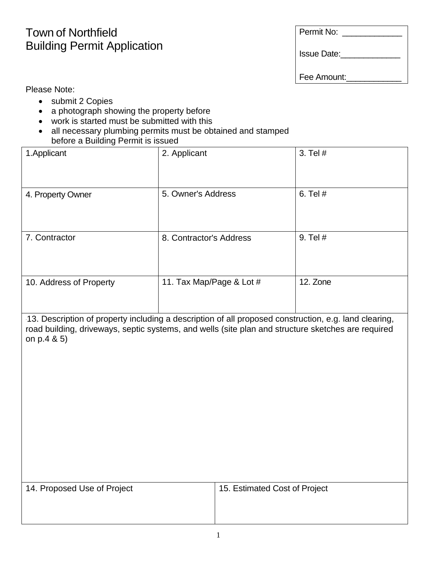## Permit No:

## Town of Northfield Building Permit Application

Issue Date:\_\_\_\_\_\_\_\_\_\_\_\_\_

Fee Amount:

Please Note:

- submit 2 Copies
- a photograph showing the property before
- work is started must be submitted with this
- all necessary plumbing permits must be obtained and stamped before a Building Permit is issued

| 1. Applicant            | 2. Applicant             | 3. Tel # |
|-------------------------|--------------------------|----------|
| 4. Property Owner       | 5. Owner's Address       | 6. Tel # |
| 7. Contractor           | 8. Contractor's Address  | 9. Tel # |
| 10. Address of Property | 11. Tax Map/Page & Lot # | 12. Zone |

.13. Description of property including a description of all proposed construction, e.g. land clearing, road building, driveways, septic systems, and wells (site plan and structure sketches are required on p.4 & 5)

14. Proposed Use of Project 15. Estimated Cost of Project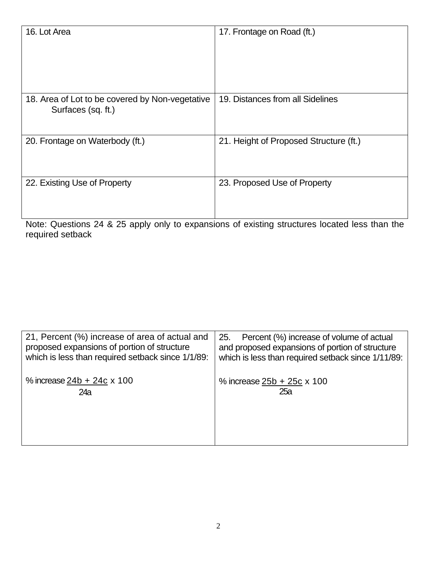| 16. Lot Area                                    | 17. Frontage on Road (ft.)             |
|-------------------------------------------------|----------------------------------------|
|                                                 |                                        |
|                                                 |                                        |
|                                                 |                                        |
|                                                 |                                        |
|                                                 |                                        |
| 18. Area of Lot to be covered by Non-vegetative | 19. Distances from all Sidelines       |
| Surfaces (sq. ft.)                              |                                        |
|                                                 |                                        |
|                                                 |                                        |
| 20. Frontage on Waterbody (ft.)                 | 21. Height of Proposed Structure (ft.) |
|                                                 |                                        |
|                                                 |                                        |
|                                                 |                                        |
| 22. Existing Use of Property                    | 23. Proposed Use of Property           |
|                                                 |                                        |
|                                                 |                                        |
|                                                 |                                        |

Note: Questions 24 & 25 apply only to expansions of existing structures located less than the required setback

| 21, Percent (%) increase of area of actual and<br>proposed expansions of portion of structure<br>which is less than required setback since 1/1/89: | 25.<br>Percent (%) increase of volume of actual<br>and proposed expansions of portion of structure<br>which is less than required setback since 1/11/89: |
|----------------------------------------------------------------------------------------------------------------------------------------------------|----------------------------------------------------------------------------------------------------------------------------------------------------------|
| % increase $24b + 24c \times 100$                                                                                                                  | % increase $25b + 25c \times 100$                                                                                                                        |
| 24a                                                                                                                                                | 25a                                                                                                                                                      |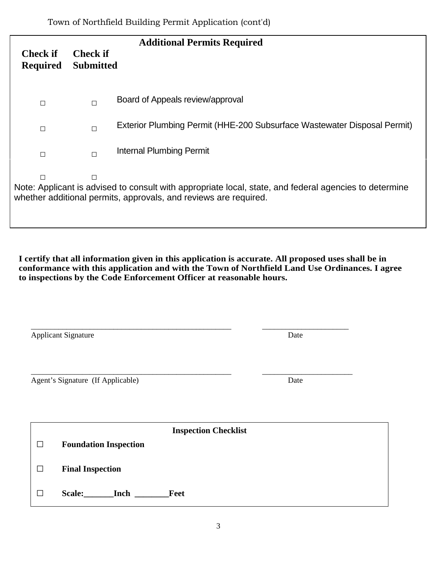| <b>Additional Permits Required</b>                                                                                                                                                        |                                     |                                                                          |  |  |
|-------------------------------------------------------------------------------------------------------------------------------------------------------------------------------------------|-------------------------------------|--------------------------------------------------------------------------|--|--|
| <b>Check if</b><br><b>Required</b>                                                                                                                                                        | <b>Check if</b><br><b>Submitted</b> |                                                                          |  |  |
| $\Box$                                                                                                                                                                                    | $\Box$                              | Board of Appeals review/approval                                         |  |  |
| $\Box$                                                                                                                                                                                    | $\Box$                              | Exterior Plumbing Permit (HHE-200 Subsurface Wastewater Disposal Permit) |  |  |
| $\Box$                                                                                                                                                                                    | $\Box$                              | <b>Internal Plumbing Permit</b>                                          |  |  |
| $\Box$<br>□<br>Note: Applicant is advised to consult with appropriate local, state, and federal agencies to determine<br>whether additional permits, approvals, and reviews are required. |                                     |                                                                          |  |  |

**I certify that all information given in this application is accurate. All proposed uses shall be in conformance with this application and with the Town of Northfield Land Use Ordinances. I agree to inspections by the Code Enforcement Officer at reasonable hours.**

|                                           | <b>Applicant Signature</b>                              | Date |  |  |
|-------------------------------------------|---------------------------------------------------------|------|--|--|
| Agent's Signature (If Applicable)<br>Date |                                                         |      |  |  |
| <b>Inspection Checklist</b>               |                                                         |      |  |  |
| П<br>П                                    | <b>Foundation Inspection</b><br><b>Final Inspection</b> |      |  |  |
| $\Box$                                    | Scale:<br><b>Inch</b><br>Feet                           |      |  |  |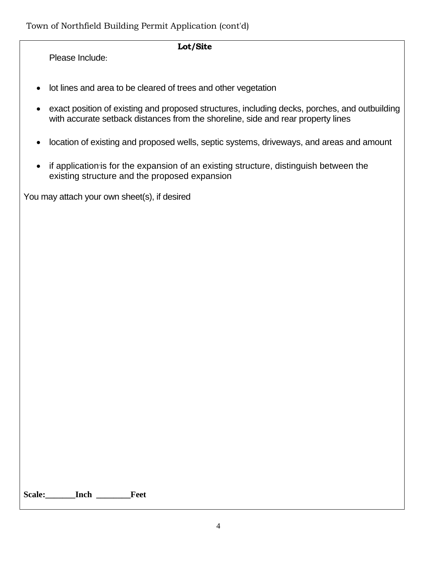## **Lot/Site**

Please Include:

- lot lines and area to be cleared of trees and other vegetation
- exact position of existing and proposed structures, including decks, porches, and outbuilding with accurate setback distances from the shoreline, side and rear property lines
- location of existing and proposed wells, septic systems, driveways, and areas and amount
- if application is for the expansion of an existing structure, distinguish between the existing structure and the proposed expansion

You may attach your own sheet(s), if desired

**Scale:\_\_\_\_\_\_\_Inch \_\_\_\_\_\_\_\_Feet**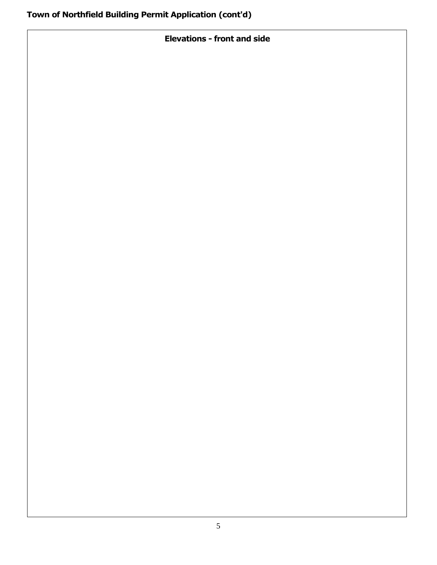**Elevations - front and side**